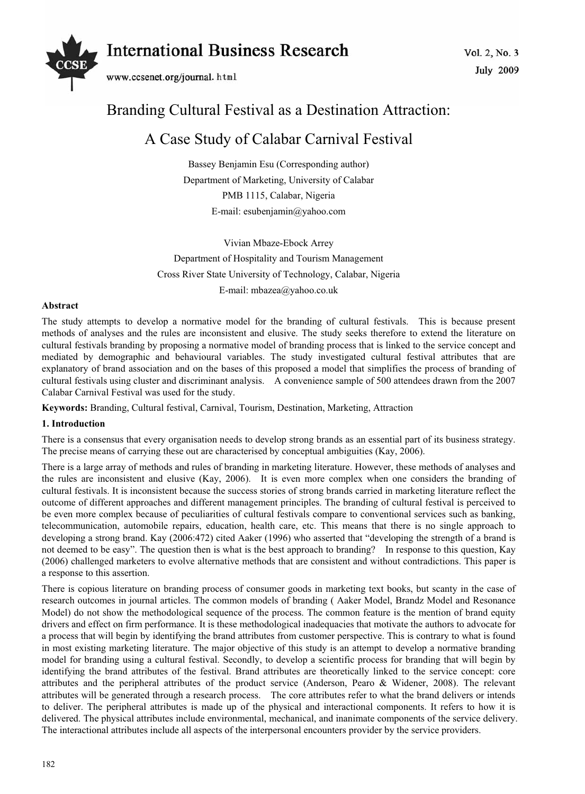# Vol. 2, No. 3 *International Business Research*



# Branding Cultural Festival as a Destination Attraction:

## A Case Study of Calabar Carnival Festival

Bassey Benjamin Esu (Corresponding author) Department of Marketing, University of Calabar PMB 1115, Calabar, Nigeria E-mail: esubenjamin@yahoo.com

Vivian Mbaze-Ebock Arrey Department of Hospitality and Tourism Management Cross River State University of Technology, Calabar, Nigeria E-mail: mbazea@yahoo.co.uk

#### **Abstract**

The study attempts to develop a normative model for the branding of cultural festivals. This is because present methods of analyses and the rules are inconsistent and elusive. The study seeks therefore to extend the literature on cultural festivals branding by proposing a normative model of branding process that is linked to the service concept and mediated by demographic and behavioural variables. The study investigated cultural festival attributes that are explanatory of brand association and on the bases of this proposed a model that simplifies the process of branding of cultural festivals using cluster and discriminant analysis. A convenience sample of 500 attendees drawn from the 2007 Calabar Carnival Festival was used for the study.

**Keywords:** Branding, Cultural festival, Carnival, Tourism, Destination, Marketing, Attraction

### **1. Introduction**

There is a consensus that every organisation needs to develop strong brands as an essential part of its business strategy. The precise means of carrying these out are characterised by conceptual ambiguities (Kay, 2006).

There is a large array of methods and rules of branding in marketing literature. However, these methods of analyses and the rules are inconsistent and elusive (Kay, 2006). It is even more complex when one considers the branding of cultural festivals. It is inconsistent because the success stories of strong brands carried in marketing literature reflect the outcome of different approaches and different management principles. The branding of cultural festival is perceived to be even more complex because of peculiarities of cultural festivals compare to conventional services such as banking, telecommunication, automobile repairs, education, health care, etc. This means that there is no single approach to developing a strong brand. Kay (2006:472) cited Aaker (1996) who asserted that "developing the strength of a brand is not deemed to be easy". The question then is what is the best approach to branding? In response to this question, Kay (2006) challenged marketers to evolve alternative methods that are consistent and without contradictions. This paper is a response to this assertion.

There is copious literature on branding process of consumer goods in marketing text books, but scanty in the case of research outcomes in journal articles. The common models of branding ( Aaker Model, Brandz Model and Resonance Model) do not show the methodological sequence of the process. The common feature is the mention of brand equity drivers and effect on firm performance. It is these methodological inadequacies that motivate the authors to advocate for a process that will begin by identifying the brand attributes from customer perspective. This is contrary to what is found in most existing marketing literature. The major objective of this study is an attempt to develop a normative branding model for branding using a cultural festival. Secondly, to develop a scientific process for branding that will begin by identifying the brand attributes of the festival. Brand attributes are theoretically linked to the service concept: core attributes and the peripheral attributes of the product service (Anderson, Pearo & Widener, 2008). The relevant attributes will be generated through a research process. The core attributes refer to what the brand delivers or intends to deliver. The peripheral attributes is made up of the physical and interactional components. It refers to how it is delivered. The physical attributes include environmental, mechanical, and inanimate components of the service delivery. The interactional attributes include all aspects of the interpersonal encounters provider by the service providers.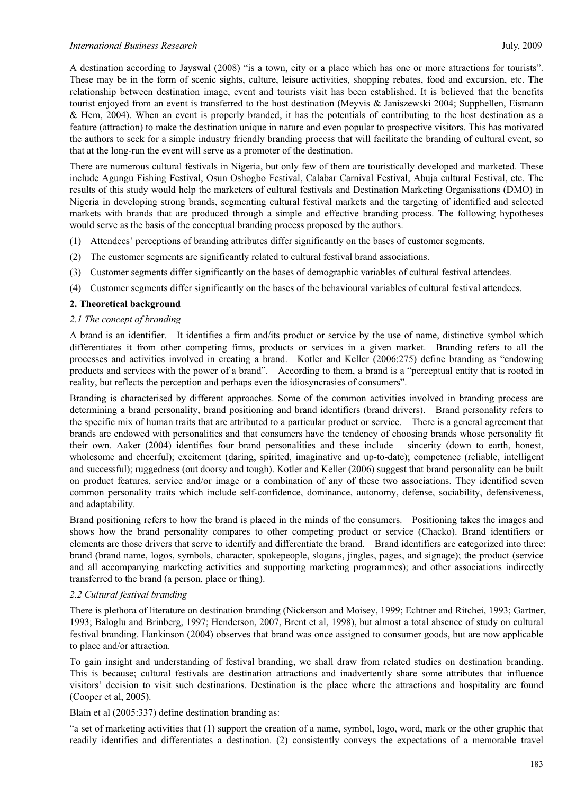A destination according to Jayswal (2008) "is a town, city or a place which has one or more attractions for tourists". These may be in the form of scenic sights, culture, leisure activities, shopping rebates, food and excursion, etc. The relationship between destination image, event and tourists visit has been established. It is believed that the benefits tourist enjoyed from an event is transferred to the host destination (Meyvis & Janiszewski 2004; Supphellen, Eismann & Hem, 2004). When an event is properly branded, it has the potentials of contributing to the host destination as a feature (attraction) to make the destination unique in nature and even popular to prospective visitors. This has motivated the authors to seek for a simple industry friendly branding process that will facilitate the branding of cultural event, so that at the long-run the event will serve as a promoter of the destination.

There are numerous cultural festivals in Nigeria, but only few of them are touristically developed and marketed. These include Agungu Fishing Festival, Osun Oshogbo Festival, Calabar Carnival Festival, Abuja cultural Festival, etc. The results of this study would help the marketers of cultural festivals and Destination Marketing Organisations (DMO) in Nigeria in developing strong brands, segmenting cultural festival markets and the targeting of identified and selected markets with brands that are produced through a simple and effective branding process. The following hypotheses would serve as the basis of the conceptual branding process proposed by the authors.

- (1) Attendees' perceptions of branding attributes differ significantly on the bases of customer segments.
- (2) The customer segments are significantly related to cultural festival brand associations.
- (3) Customer segments differ significantly on the bases of demographic variables of cultural festival attendees.
- (4) Customer segments differ significantly on the bases of the behavioural variables of cultural festival attendees.

#### **2. Theoretical background**

#### *2.1 The concept of branding*

A brand is an identifier. It identifies a firm and/its product or service by the use of name, distinctive symbol which differentiates it from other competing firms, products or services in a given market. Branding refers to all the processes and activities involved in creating a brand. Kotler and Keller (2006:275) define branding as "endowing products and services with the power of a brand". According to them, a brand is a "perceptual entity that is rooted in reality, but reflects the perception and perhaps even the idiosyncrasies of consumers".

Branding is characterised by different approaches. Some of the common activities involved in branding process are determining a brand personality, brand positioning and brand identifiers (brand drivers). Brand personality refers to the specific mix of human traits that are attributed to a particular product or service. There is a general agreement that brands are endowed with personalities and that consumers have the tendency of choosing brands whose personality fit their own. Aaker (2004) identifies four brand personalities and these include – sincerity (down to earth, honest, wholesome and cheerful); excitement (daring, spirited, imaginative and up-to-date); competence (reliable, intelligent and successful); ruggedness (out doorsy and tough). Kotler and Keller (2006) suggest that brand personality can be built on product features, service and/or image or a combination of any of these two associations. They identified seven common personality traits which include self-confidence, dominance, autonomy, defense, sociability, defensiveness, and adaptability.

Brand positioning refers to how the brand is placed in the minds of the consumers. Positioning takes the images and shows how the brand personality compares to other competing product or service (Chacko). Brand identifiers or elements are those drivers that serve to identify and differentiate the brand. Brand identifiers are categorized into three: brand (brand name, logos, symbols, character, spokepeople, slogans, jingles, pages, and signage); the product (service and all accompanying marketing activities and supporting marketing programmes); and other associations indirectly transferred to the brand (a person, place or thing).

#### *2.2 Cultural festival branding*

There is plethora of literature on destination branding (Nickerson and Moisey, 1999; Echtner and Ritchei, 1993; Gartner, 1993; Baloglu and Brinberg, 1997; Henderson, 2007, Brent et al, 1998), but almost a total absence of study on cultural festival branding. Hankinson (2004) observes that brand was once assigned to consumer goods, but are now applicable to place and/or attraction.

To gain insight and understanding of festival branding, we shall draw from related studies on destination branding. This is because; cultural festivals are destination attractions and inadvertently share some attributes that influence visitors' decision to visit such destinations. Destination is the place where the attractions and hospitality are found (Cooper et al, 2005).

Blain et al (2005:337) define destination branding as:

"a set of marketing activities that (1) support the creation of a name, symbol, logo, word, mark or the other graphic that readily identifies and differentiates a destination. (2) consistently conveys the expectations of a memorable travel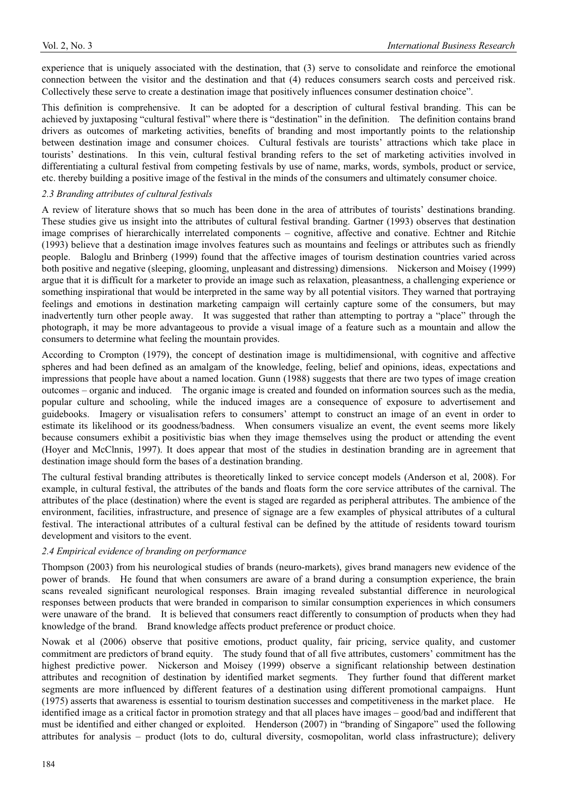experience that is uniquely associated with the destination, that (3) serve to consolidate and reinforce the emotional connection between the visitor and the destination and that (4) reduces consumers search costs and perceived risk. Collectively these serve to create a destination image that positively influences consumer destination choice".

This definition is comprehensive. It can be adopted for a description of cultural festival branding. This can be achieved by juxtaposing "cultural festival" where there is "destination" in the definition. The definition contains brand drivers as outcomes of marketing activities, benefits of branding and most importantly points to the relationship between destination image and consumer choices. Cultural festivals are tourists' attractions which take place in tourists' destinations. In this vein, cultural festival branding refers to the set of marketing activities involved in differentiating a cultural festival from competing festivals by use of name, marks, words, symbols, product or service, etc. thereby building a positive image of the festival in the minds of the consumers and ultimately consumer choice.

#### *2.3 Branding attributes of cultural festivals*

A review of literature shows that so much has been done in the area of attributes of tourists' destinations branding. These studies give us insight into the attributes of cultural festival branding. Gartner (1993) observes that destination image comprises of hierarchically interrelated components – cognitive, affective and conative. Echtner and Ritchie (1993) believe that a destination image involves features such as mountains and feelings or attributes such as friendly people. Baloglu and Brinberg (1999) found that the affective images of tourism destination countries varied across both positive and negative (sleeping, glooming, unpleasant and distressing) dimensions. Nickerson and Moisey (1999) argue that it is difficult for a marketer to provide an image such as relaxation, pleasantness, a challenging experience or something inspirational that would be interpreted in the same way by all potential visitors. They warned that portraying feelings and emotions in destination marketing campaign will certainly capture some of the consumers, but may inadvertently turn other people away. It was suggested that rather than attempting to portray a "place" through the photograph, it may be more advantageous to provide a visual image of a feature such as a mountain and allow the consumers to determine what feeling the mountain provides.

According to Crompton (1979), the concept of destination image is multidimensional, with cognitive and affective spheres and had been defined as an amalgam of the knowledge, feeling, belief and opinions, ideas, expectations and impressions that people have about a named location. Gunn (1988) suggests that there are two types of image creation outcomes – organic and induced. The organic image is created and founded on information sources such as the media, popular culture and schooling, while the induced images are a consequence of exposure to advertisement and guidebooks. Imagery or visualisation refers to consumers' attempt to construct an image of an event in order to estimate its likelihood or its goodness/badness. When consumers visualize an event, the event seems more likely because consumers exhibit a positivistic bias when they image themselves using the product or attending the event (Hoyer and McClnnis, 1997). It does appear that most of the studies in destination branding are in agreement that destination image should form the bases of a destination branding.

The cultural festival branding attributes is theoretically linked to service concept models (Anderson et al, 2008). For example, in cultural festival, the attributes of the bands and floats form the core service attributes of the carnival. The attributes of the place (destination) where the event is staged are regarded as peripheral attributes. The ambience of the environment, facilities, infrastructure, and presence of signage are a few examples of physical attributes of a cultural festival. The interactional attributes of a cultural festival can be defined by the attitude of residents toward tourism development and visitors to the event.

#### *2.4 Empirical evidence of branding on performance*

Thompson (2003) from his neurological studies of brands (neuro-markets), gives brand managers new evidence of the power of brands. He found that when consumers are aware of a brand during a consumption experience, the brain scans revealed significant neurological responses. Brain imaging revealed substantial difference in neurological responses between products that were branded in comparison to similar consumption experiences in which consumers were unaware of the brand. It is believed that consumers react differently to consumption of products when they had knowledge of the brand. Brand knowledge affects product preference or product choice.

Nowak et al (2006) observe that positive emotions, product quality, fair pricing, service quality, and customer commitment are predictors of brand equity. The study found that of all five attributes, customers' commitment has the highest predictive power. Nickerson and Moisey (1999) observe a significant relationship between destination attributes and recognition of destination by identified market segments. They further found that different market segments are more influenced by different features of a destination using different promotional campaigns. Hunt (1975) asserts that awareness is essential to tourism destination successes and competitiveness in the market place. He identified image as a critical factor in promotion strategy and that all places have images – good/bad and indifferent that must be identified and either changed or exploited. Henderson (2007) in "branding of Singapore" used the following attributes for analysis – product (lots to do, cultural diversity, cosmopolitan, world class infrastructure); delivery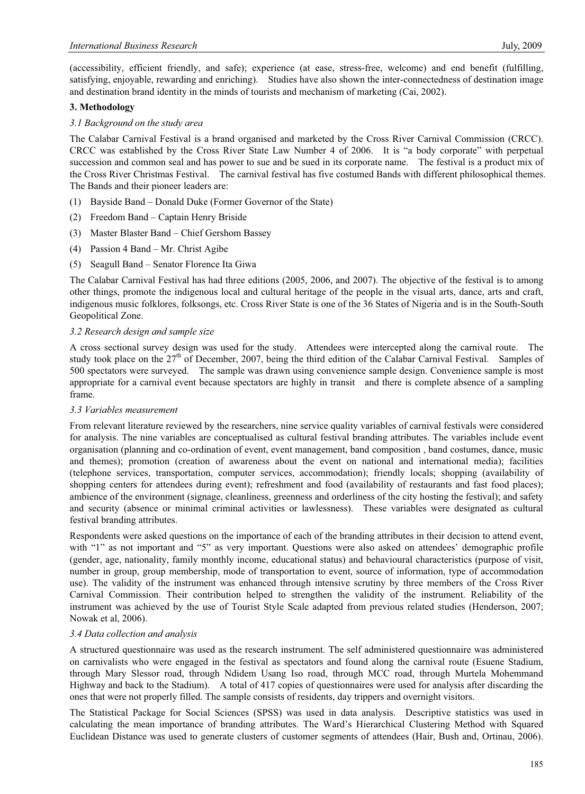(accessibility, efficient friendly, and safe); experience (at ease, stress-free, welcome) and end benefit (fulfilling, satisfying, enjoyable, rewarding and enriching). Studies have also shown the inter-connectedness of destination image and destination brand identity in the minds of tourists and mechanism of marketing (Cai, 2002).

#### **3. Methodology**

#### *3.1 Background on the study area*

The Calabar Carnival Festival is a brand organised and marketed by the Cross River Carnival Commission (CRCC). CRCC was established by the Cross River State Law Number 4 of 2006. It is "a body corporate" with perpetual succession and common seal and has power to sue and be sued in its corporate name. The festival is a product mix of the Cross River Christmas Festival. The carnival festival has five costumed Bands with different philosophical themes. The Bands and their pioneer leaders are:

- (1) Bayside Band Donald Duke (Former Governor of the State)
- (2) Freedom Band Captain Henry Briside
- (3) Master Blaster Band Chief Gershom Bassey
- (4) Passion 4 Band Mr. Christ Agibe
- (5) Seagull Band Senator Florence Ita Giwa

The Calabar Carnival Festival has had three editions (2005, 2006, and 2007). The objective of the festival is to among other things, promote the indigenous local and cultural heritage of the people in the visual arts, dance, arts and craft, indigenous music folklores, folksongs, etc. Cross River State is one of the 36 States of Nigeria and is in the South-South Geopolitical Zone.

#### *3.2 Research design and sample size*

A cross sectional survey design was used for the study. Attendees were intercepted along the carnival route. The study took place on the  $27<sup>th</sup>$  of December, 2007, being the third edition of the Calabar Carnival Festival. Samples of 500 spectators were surveyed. The sample was drawn using convenience sample design. Convenience sample is most appropriate for a carnival event because spectators are highly in transit and there is complete absence of a sampling frame.

#### *3.3 Variables measurement*

From relevant literature reviewed by the researchers, nine service quality variables of carnival festivals were considered for analysis. The nine variables are conceptualised as cultural festival branding attributes. The variables include event organisation (planning and co-ordination of event, event management, band composition , band costumes, dance, music and themes); promotion (creation of awareness about the event on national and international media); facilities (telephone services, transportation, computer services, accommodation); friendly locals; shopping (availability of shopping centers for attendees during event); refreshment and food (availability of restaurants and fast food places); ambience of the environment (signage, cleanliness, greenness and orderliness of the city hosting the festival); and safety and security (absence or minimal criminal activities or lawlessness). These variables were designated as cultural festival branding attributes.

Respondents were asked questions on the importance of each of the branding attributes in their decision to attend event, with "1" as not important and "5" as very important. Questions were also asked on attendees' demographic profile (gender, age, nationality, family monthly income, educational status) and behavioural characteristics (purpose of visit, number in group, group membership, mode of transportation to event, source of information, type of accommodation use). The validity of the instrument was enhanced through intensive scrutiny by three members of the Cross River Carnival Commission. Their contribution helped to strengthen the validity of the instrument. Reliability of the instrument was achieved by the use of Tourist Style Scale adapted from previous related studies (Henderson, 2007; Nowak et al, 2006).

#### *3.4 Data collection and analysis*

A structured questionnaire was used as the research instrument. The self administered questionnaire was administered on carnivalists who were engaged in the festival as spectators and found along the carnival route (Esuene Stadium, through Mary Slessor road, through Ndidem Usang Iso road, through MCC road, through Murtela Mohemmand Highway and back to the Stadium). A total of 417 copies of questionnaires were used for analysis after discarding the ones that were not properly filled. The sample consists of residents, day trippers and overnight visitors.

The Statistical Package for Social Sciences (SPSS) was used in data analysis. Descriptive statistics was used in calculating the mean importance of branding attributes. The Ward's Hierarchical Clustering Method with Squared Euclidean Distance was used to generate clusters of customer segments of attendees (Hair, Bush and, Ortinau, 2006).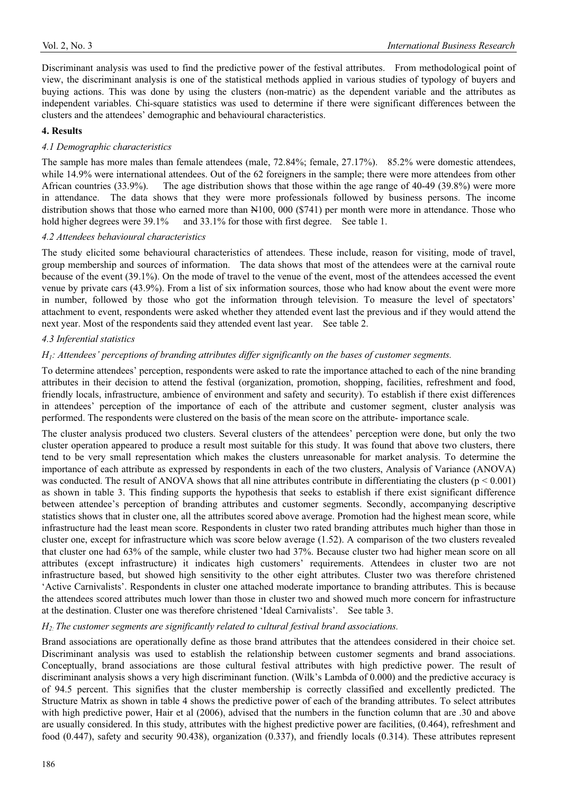Discriminant analysis was used to find the predictive power of the festival attributes. From methodological point of view, the discriminant analysis is one of the statistical methods applied in various studies of typology of buyers and buying actions. This was done by using the clusters (non-matric) as the dependent variable and the attributes as independent variables. Chi-square statistics was used to determine if there were significant differences between the clusters and the attendees' demographic and behavioural characteristics.

#### **4. Results**

#### *4.1 Demographic characteristics*

The sample has more males than female attendees (male, 72.84%; female, 27.17%). 85.2% were domestic attendees, while 14.9% were international attendees. Out of the 62 foreigners in the sample; there were more attendees from other African countries (33.9%). The age distribution shows that those within the age range of 40-49 (39.8%) were more in attendance. The data shows that they were more professionals followed by business persons. The income distribution shows that those who earned more than N100, 000 (\$741) per month were more in attendance. Those who hold higher degrees were 39.1% and 33.1% for those with first degree. See table 1.

#### *4.2 Attendees behavioural characteristics*

The study elicited some behavioural characteristics of attendees. These include, reason for visiting, mode of travel, group membership and sources of information. The data shows that most of the attendees were at the carnival route because of the event (39.1%). On the mode of travel to the venue of the event, most of the attendees accessed the event venue by private cars (43.9%). From a list of six information sources, those who had know about the event were more in number, followed by those who got the information through television. To measure the level of spectators' attachment to event, respondents were asked whether they attended event last the previous and if they would attend the next year. Most of the respondents said they attended event last year. See table 2.

#### *4.3 Inferential statistics*

#### *H1: Attendees' perceptions of branding attributes differ significantly on the bases of customer segments.*

To determine attendees' perception, respondents were asked to rate the importance attached to each of the nine branding attributes in their decision to attend the festival (organization, promotion, shopping, facilities, refreshment and food, friendly locals, infrastructure, ambience of environment and safety and security). To establish if there exist differences in attendees' perception of the importance of each of the attribute and customer segment, cluster analysis was performed. The respondents were clustered on the basis of the mean score on the attribute- importance scale.

The cluster analysis produced two clusters. Several clusters of the attendees' perception were done, but only the two cluster operation appeared to produce a result most suitable for this study. It was found that above two clusters, there tend to be very small representation which makes the clusters unreasonable for market analysis. To determine the importance of each attribute as expressed by respondents in each of the two clusters, Analysis of Variance (ANOVA) was conducted. The result of ANOVA shows that all nine attributes contribute in differentiating the clusters  $(p < 0.001)$ as shown in table 3. This finding supports the hypothesis that seeks to establish if there exist significant difference between attendee's perception of branding attributes and customer segments. Secondly, accompanying descriptive statistics shows that in cluster one, all the attributes scored above average. Promotion had the highest mean score, while infrastructure had the least mean score. Respondents in cluster two rated branding attributes much higher than those in cluster one, except for infrastructure which was score below average (1.52). A comparison of the two clusters revealed that cluster one had 63% of the sample, while cluster two had 37%. Because cluster two had higher mean score on all attributes (except infrastructure) it indicates high customers' requirements. Attendees in cluster two are not infrastructure based, but showed high sensitivity to the other eight attributes. Cluster two was therefore christened 'Active Carnivalists'. Respondents in cluster one attached moderate importance to branding attributes. This is because the attendees scored attributes much lower than those in cluster two and showed much more concern for infrastructure at the destination. Cluster one was therefore christened 'Ideal Carnivalists'. See table 3.

#### *H2: The customer segments are significantly related to cultural festival brand associations.*

Brand associations are operationally define as those brand attributes that the attendees considered in their choice set. Discriminant analysis was used to establish the relationship between customer segments and brand associations. Conceptually, brand associations are those cultural festival attributes with high predictive power. The result of discriminant analysis shows a very high discriminant function. (Wilk's Lambda of 0.000) and the predictive accuracy is of 94.5 percent. This signifies that the cluster membership is correctly classified and excellently predicted. The Structure Matrix as shown in table 4 shows the predictive power of each of the branding attributes. To select attributes with high predictive power, Hair et al (2006), advised that the numbers in the function column that are .30 and above are usually considered. In this study, attributes with the highest predictive power are facilities, (0.464), refreshment and food (0.447), safety and security 90.438), organization (0.337), and friendly locals (0.314). These attributes represent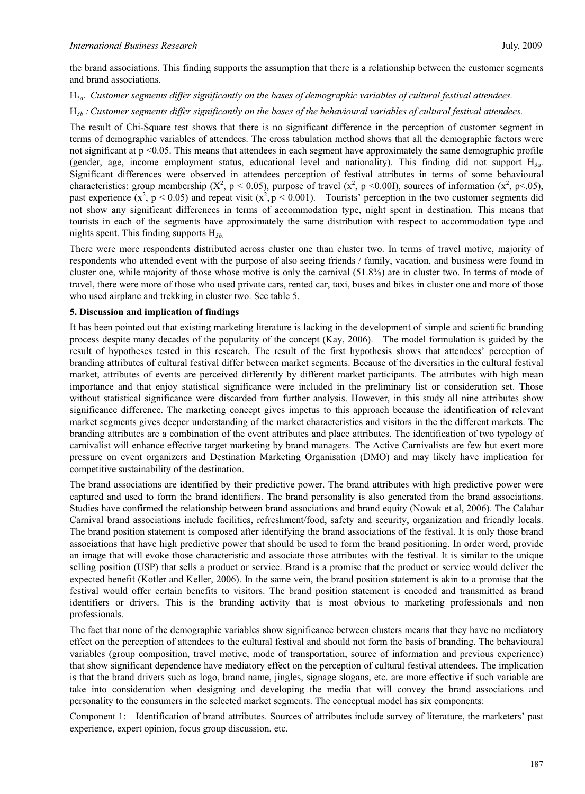the brand associations. This finding supports the assumption that there is a relationship between the customer segments and brand associations.

#### H3*a: Customer segments differ significantly on the bases of demographic variables of cultural festival attendees.*

#### H*3b : Customer segments differ significantly on the bases of the behavioural variables of cultural festival attendees.*

The result of Chi-Square test shows that there is no significant difference in the perception of customer segment in terms of demographic variables of attendees. The cross tabulation method shows that all the demographic factors were not significant at p <0.05. This means that attendees in each segment have approximately the same demographic profile (gender, age, income employment status, educational level and nationality). This finding did not support H*3a*. Significant differences were observed in attendees perception of festival attributes in terms of some behavioural characteristics: group membership ( $X^2$ ,  $p < 0.05$ ), purpose of travel ( $x^2$ ,  $p < 0.001$ ), sources of information ( $x^2$ ,  $p < 0.05$ ), past experience  $(x^2, p < 0.05)$  and repeat visit  $(x^2, p < 0.001)$ . Tourists' perception in the two customer segments did not show any significant differences in terms of accommodation type, night spent in destination. This means that tourists in each of the segments have approximately the same distribution with respect to accommodation type and nights spent. This finding supports H*3b.*

There were more respondents distributed across cluster one than cluster two. In terms of travel motive, majority of respondents who attended event with the purpose of also seeing friends / family, vacation, and business were found in cluster one, while majority of those whose motive is only the carnival (51.8%) are in cluster two. In terms of mode of travel, there were more of those who used private cars, rented car, taxi, buses and bikes in cluster one and more of those who used airplane and trekking in cluster two. See table 5.

#### **5. Discussion and implication of findings**

It has been pointed out that existing marketing literature is lacking in the development of simple and scientific branding process despite many decades of the popularity of the concept (Kay, 2006). The model formulation is guided by the result of hypotheses tested in this research. The result of the first hypothesis shows that attendees' perception of branding attributes of cultural festival differ between market segments. Because of the diversities in the cultural festival market, attributes of events are perceived differently by different market participants. The attributes with high mean importance and that enjoy statistical significance were included in the preliminary list or consideration set. Those without statistical significance were discarded from further analysis. However, in this study all nine attributes show significance difference. The marketing concept gives impetus to this approach because the identification of relevant market segments gives deeper understanding of the market characteristics and visitors in the the different markets. The branding attributes are a combination of the event attributes and place attributes. The identification of two typology of carnivalist will enhance effective target marketing by brand managers. The Active Carnivalists are few but exert more pressure on event organizers and Destination Marketing Organisation (DMO) and may likely have implication for competitive sustainability of the destination.

The brand associations are identified by their predictive power. The brand attributes with high predictive power were captured and used to form the brand identifiers. The brand personality is also generated from the brand associations. Studies have confirmed the relationship between brand associations and brand equity (Nowak et al, 2006). The Calabar Carnival brand associations include facilities, refreshment/food, safety and security, organization and friendly locals. The brand position statement is composed after identifying the brand associations of the festival. It is only those brand associations that have high predictive power that should be used to form the brand positioning. In order word, provide an image that will evoke those characteristic and associate those attributes with the festival. It is similar to the unique selling position (USP) that sells a product or service. Brand is a promise that the product or service would deliver the expected benefit (Kotler and Keller, 2006). In the same vein, the brand position statement is akin to a promise that the festival would offer certain benefits to visitors. The brand position statement is encoded and transmitted as brand identifiers or drivers. This is the branding activity that is most obvious to marketing professionals and non professionals.

The fact that none of the demographic variables show significance between clusters means that they have no mediatory effect on the perception of attendees to the cultural festival and should not form the basis of branding. The behavioural variables (group composition, travel motive, mode of transportation, source of information and previous experience) that show significant dependence have mediatory effect on the perception of cultural festival attendees. The implication is that the brand drivers such as logo, brand name, jingles, signage slogans, etc. are more effective if such variable are take into consideration when designing and developing the media that will convey the brand associations and personality to the consumers in the selected market segments. The conceptual model has six components:

Component 1: Identification of brand attributes. Sources of attributes include survey of literature, the marketers' past experience, expert opinion, focus group discussion, etc.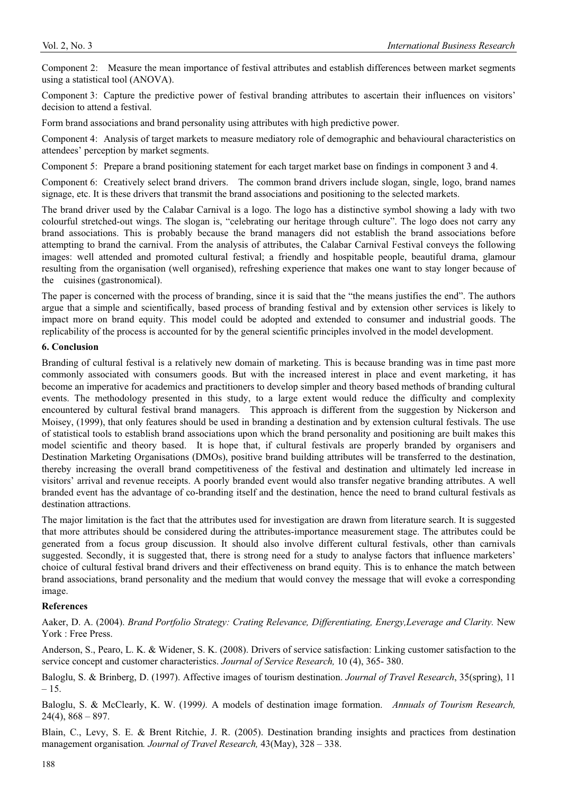Component 2: Measure the mean importance of festival attributes and establish differences between market segments using a statistical tool (ANOVA).

Component 3: Capture the predictive power of festival branding attributes to ascertain their influences on visitors' decision to attend a festival.

Form brand associations and brand personality using attributes with high predictive power.

Component 4: Analysis of target markets to measure mediatory role of demographic and behavioural characteristics on attendees' perception by market segments.

Component 5: Prepare a brand positioning statement for each target market base on findings in component 3 and 4.

Component 6: Creatively select brand drivers. The common brand drivers include slogan, single, logo, brand names signage, etc. It is these drivers that transmit the brand associations and positioning to the selected markets.

The brand driver used by the Calabar Carnival is a logo. The logo has a distinctive symbol showing a lady with two colourful stretched-out wings. The slogan is, "celebrating our heritage through culture". The logo does not carry any brand associations. This is probably because the brand managers did not establish the brand associations before attempting to brand the carnival. From the analysis of attributes, the Calabar Carnival Festival conveys the following images: well attended and promoted cultural festival; a friendly and hospitable people, beautiful drama, glamour resulting from the organisation (well organised), refreshing experience that makes one want to stay longer because of the cuisines (gastronomical).

The paper is concerned with the process of branding, since it is said that the "the means justifies the end". The authors argue that a simple and scientifically, based process of branding festival and by extension other services is likely to impact more on brand equity. This model could be adopted and extended to consumer and industrial goods. The replicability of the process is accounted for by the general scientific principles involved in the model development.

#### **6. Conclusion**

Branding of cultural festival is a relatively new domain of marketing. This is because branding was in time past more commonly associated with consumers goods. But with the increased interest in place and event marketing, it has become an imperative for academics and practitioners to develop simpler and theory based methods of branding cultural events. The methodology presented in this study, to a large extent would reduce the difficulty and complexity encountered by cultural festival brand managers. This approach is different from the suggestion by Nickerson and Moisey, (1999), that only features should be used in branding a destination and by extension cultural festivals. The use of statistical tools to establish brand associations upon which the brand personality and positioning are built makes this model scientific and theory based. It is hope that, if cultural festivals are properly branded by organisers and Destination Marketing Organisations (DMOs), positive brand building attributes will be transferred to the destination, thereby increasing the overall brand competitiveness of the festival and destination and ultimately led increase in visitors' arrival and revenue receipts. A poorly branded event would also transfer negative branding attributes. A well branded event has the advantage of co-branding itself and the destination, hence the need to brand cultural festivals as destination attractions.

The major limitation is the fact that the attributes used for investigation are drawn from literature search. It is suggested that more attributes should be considered during the attributes-importance measurement stage. The attributes could be generated from a focus group discussion. It should also involve different cultural festivals, other than carnivals suggested. Secondly, it is suggested that, there is strong need for a study to analyse factors that influence marketers' choice of cultural festival brand drivers and their effectiveness on brand equity. This is to enhance the match between brand associations, brand personality and the medium that would convey the message that will evoke a corresponding image.

#### **References**

Aaker, D. A. (2004). *Brand Portfolio Strategy: Crating Relevance, Differentiating, Energy,Leverage and Clarity.* New York : Free Press.

Anderson, S., Pearo, L. K. & Widener, S. K. (2008). Drivers of service satisfaction: Linking customer satisfaction to the service concept and customer characteristics. *Journal of Service Research,* 10 (4), 365- 380.

Baloglu, S. & Brinberg, D. (1997). Affective images of tourism destination. *Journal of Travel Research*, 35(spring), 11  $-15.$ 

Baloglu, S. & McClearly, K. W. (1999*).* A models of destination image formation. *Annuals of Tourism Research,*  $24(4)$ ,  $868 - 897$ .

Blain, C., Levy, S. E. & Brent Ritchie, J. R. (2005). Destination branding insights and practices from destination management organisation*. Journal of Travel Research,* 43(May), 328 – 338.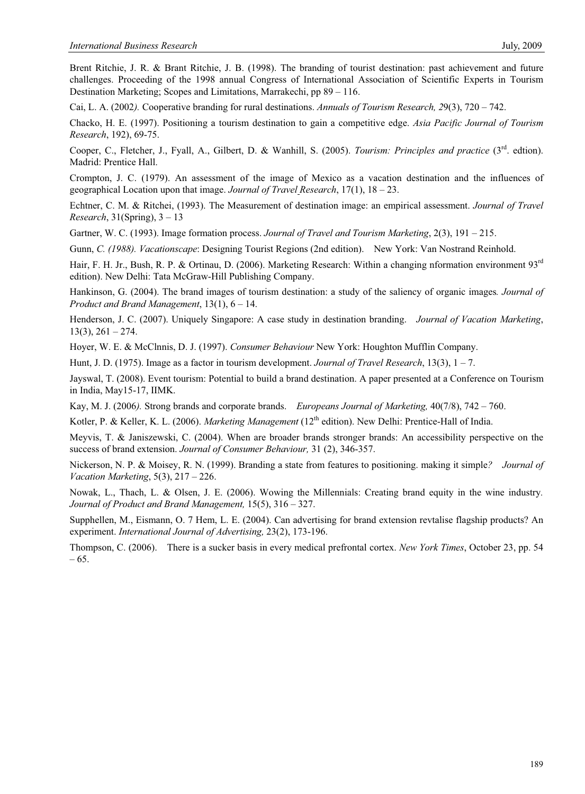Brent Ritchie, J. R. & Brant Ritchie, J. B. (1998). The branding of tourist destination: past achievement and future challenges. Proceeding of the 1998 annual Congress of International Association of Scientific Experts in Tourism Destination Marketing; Scopes and Limitations, Marrakechi, pp 89 – 116.

Cai, L. A. (2002*).* Cooperative branding for rural destinations. *Annuals of Tourism Research, 2*9(3), 720 – 742.

Chacko, H. E. (1997). Positioning a tourism destination to gain a competitive edge. *Asia Pacific Journal of Tourism Research*, 192), 69-75.

Cooper, C., Fletcher, J., Fyall, A., Gilbert, D. & Wanhill, S. (2005). *Tourism: Principles and practice* (3<sup>rd</sup>. edtion). Madrid: Prentice Hall.

Crompton, J. C. (1979). An assessment of the image of Mexico as a vacation destination and the influences of geographical Location upon that image. *Journal of Travel Research*, 17(1), 18 – 23.

Echtner, C. M. & Ritchei, (1993). The Measurement of destination image: an empirical assessment. *Journal of Travel Research*, 31(Spring), 3 – 13

Gartner, W. C. (1993). Image formation process. *Journal of Travel and Tourism Marketing*, 2(3), 191 – 215.

Gunn, *C. (1988). Vacationscape*: Designing Tourist Regions (2nd edition). New York: Van Nostrand Reinhold.

Hair, F. H. Jr., Bush, R. P. & Ortinau, D. (2006). Marketing Research: Within a changing nformation environment 93<sup>rd</sup> edition). New Delhi: Tata McGraw-Hill Publishing Company.

Hankinson, G. (2004). The brand images of tourism destination: a study of the saliency of organic images*. Journal of Product and Brand Management*, 13(1), 6 – 14.

Henderson, J. C. (2007). Uniquely Singapore: A case study in destination branding. *Journal of Vacation Marketing*,  $13(3)$ ,  $261 - 274$ .

Hoyer, W. E. & McClnnis, D. J. (1997). *Consumer Behaviour* New York: Houghton Mufflin Company.

Hunt, J. D. (1975). Image as a factor in tourism development. *Journal of Travel Research*, 13(3), 1 – 7.

Jayswal, T. (2008). Event tourism: Potential to build a brand destination. A paper presented at a Conference on Tourism in India, May15-17, IIMK.

Kay, M. J. (2006*).* Strong brands and corporate brands. *Europeans Journal of Marketing,* 40(7/8), 742 – 760.

Kotler, P. & Keller, K. L. (2006). *Marketing Management* (12<sup>th</sup> edition). New Delhi: Prentice-Hall of India.

Meyvis, T. & Janiszewski, C. (2004). When are broader brands stronger brands: An accessibility perspective on the success of brand extension. *Journal of Consumer Behaviour,* 31 (2), 346-357.

Nickerson, N. P. & Moisey, R. N. (1999). Branding a state from features to positioning. making it simple*? Journal of Vacation Marketing*, 5(3), 217 – 226.

Nowak, L., Thach, L. & Olsen, J. E. (2006). Wowing the Millennials: Creating brand equity in the wine industry*. Journal of Product and Brand Management,* 15(5), 316 – 327.

Supphellen, M., Eismann, O. 7 Hem, L. E. (2004). Can advertising for brand extension revtalise flagship products? An experiment. *International Journal of Advertising,* 23(2), 173-196.

Thompson, C. (2006). There is a sucker basis in every medical prefrontal cortex. *New York Times*, October 23, pp. 54 – 65.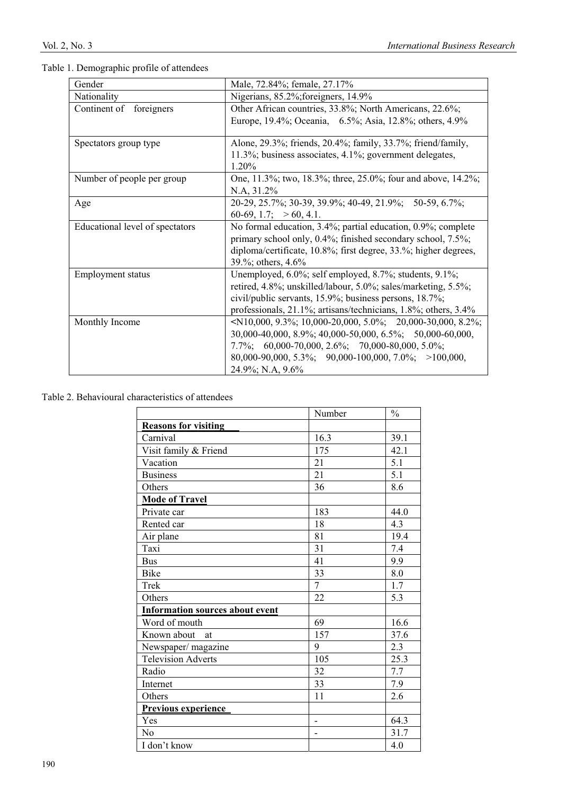| Gender                          | Male, 72.84%; female, 27.17%                                                                                                                                                                                                                                        |  |  |  |  |
|---------------------------------|---------------------------------------------------------------------------------------------------------------------------------------------------------------------------------------------------------------------------------------------------------------------|--|--|--|--|
| Nationality                     | Nigerians, 85.2%; foreigners, 14.9%                                                                                                                                                                                                                                 |  |  |  |  |
| Continent of foreigners         | Other African countries, 33.8%; North Americans, 22.6%;<br>Europe, 19.4%; Oceania, 6.5%; Asia, 12.8%; others, 4.9%                                                                                                                                                  |  |  |  |  |
| Spectators group type           | Alone, 29.3%; friends, 20.4%; family, 33.7%; friend/family,<br>11.3%; business associates, 4.1%; government delegates,<br>$1.20\%$                                                                                                                                  |  |  |  |  |
| Number of people per group      | One, 11.3%; two, 18.3%; three, 25.0%; four and above, 14.2%;<br>$N.A, 31.2\%$                                                                                                                                                                                       |  |  |  |  |
| Age                             | 20-29, 25.7%; 30-39, 39.9%; 40-49, 21.9%; 50-59, 6.7%;<br>$60-69$ , 1.7; $> 60$ , 4.1.                                                                                                                                                                              |  |  |  |  |
| Educational level of spectators | No formal education, 3.4%; partial education, 0.9%; complete<br>primary school only, 0.4%; finished secondary school, 7.5%;<br>diploma/certificate, 10.8%; first degree, 33.%; higher degrees,<br>39.%; others, 4.6%                                                |  |  |  |  |
| Employment status               | Unemployed, 6.0%; self employed, 8.7%; students, 9.1%;<br>retired, 4.8%; unskilled/labour, 5.0%; sales/marketing, 5.5%;<br>civil/public servants, 15.9%; business persons, 18.7%;<br>professionals, 21.1%; artisans/technicians, 1.8%; others, 3.4%                 |  |  |  |  |
| Monthly Income                  | $\langle N10,000, 9.3\%; 10,000-20,000, 5.0\%; 20,000-30,000, 8.2\%;$<br>30,000-40,000, 8.9%; 40,000-50,000, 6.5%; 50,000-60,000,<br>7.7%; 60,000-70,000, 2.6%; 70,000-80,000, 5.0%;<br>80,000-90,000, 5.3%; 90,000-100,000, 7.0%; $>100,000$ ,<br>24.9%; N.A, 9.6% |  |  |  |  |

Table 1. Demographic profile of attendees

## Table 2. Behavioural characteristics of attendees

|                                        | Number                   | $\frac{0}{0}$ |
|----------------------------------------|--------------------------|---------------|
| <b>Reasons for visiting</b>            |                          |               |
| Carnival                               | 16.3                     | 39.1          |
| Visit family & Friend                  | 175                      | 42.1          |
| Vacation                               | 21                       | 5.1           |
| <b>Business</b>                        | 21                       | 5.1           |
| Others                                 | 36                       | 8.6           |
| <b>Mode of Travel</b>                  |                          |               |
| Private car                            | 183                      | 44.0          |
| Rented car                             | 18                       | 4.3           |
| Air plane                              | 81                       | 19.4          |
| Taxi                                   | 31                       | 7.4           |
| <b>Bus</b>                             | 41                       | 9.9           |
| Bike                                   | 33                       | 8.0           |
| Trek                                   | $\overline{7}$           | 1.7           |
| Others                                 | 22                       | 5.3           |
| <b>Information sources about event</b> |                          |               |
| Word of mouth                          | 69                       | 16.6          |
| Known about at                         | 157                      | 37.6          |
| Newspaper/magazine                     | 9                        | 2.3           |
| Television Adverts                     | 105                      | 25.3          |
| Radio                                  | 32                       | 7.7           |
| Internet                               | 33                       | 7.9           |
| Others                                 | 11                       | 2.6           |
| Previous experience                    |                          |               |
| Yes                                    | $\overline{\phantom{0}}$ | 64.3          |
| No                                     |                          | 31.7          |
| I don't know                           |                          | 4.0           |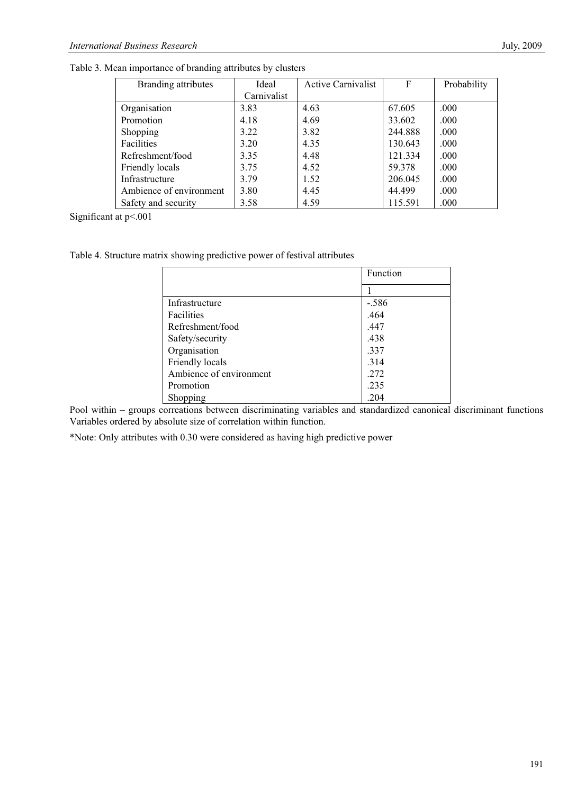| Branding attributes     | Ideal       | Active Carnivalist | F       | Probability |
|-------------------------|-------------|--------------------|---------|-------------|
|                         | Carnivalist |                    |         |             |
| Organisation            | 3.83        | 4.63               | 67.605  | .000        |
| Promotion               | 4.18        | 4.69               | 33.602  | .000        |
| Shopping                | 3.22        | 3.82               | 244.888 | .000        |
| Facilities              | 3.20        | 4.35               | 130.643 | .000        |
| Refreshment/food        | 3.35        | 4.48               | 121.334 | .000        |
| Friendly locals         | 3.75        | 4.52               | 59.378  | .000        |
| Infrastructure          | 3.79        | 1.52               | 206.045 | .000        |
| Ambience of environment | 3.80        | 4.45               | 44.499  | .000        |
| Safety and security     | 3.58        | 4.59               | 115.591 | .000        |

Table 3. Mean importance of branding attributes by clusters

Significant at p<.001

Table 4. Structure matrix showing predictive power of festival attributes

|                         | Function |
|-------------------------|----------|
|                         |          |
| Infrastructure          | $-.586$  |
| <b>Facilities</b>       | .464     |
| Refreshment/food        | .447     |
| Safety/security         | .438     |
| Organisation            | .337     |
| Friendly locals         | .314     |
| Ambience of environment | .272     |
| Promotion               | .235     |
| Shopping                | .204     |

Pool within – groups correations between discriminating variables and standardized canonical discriminant functions Variables ordered by absolute size of correlation within function.

\*Note: Only attributes with 0.30 were considered as having high predictive power